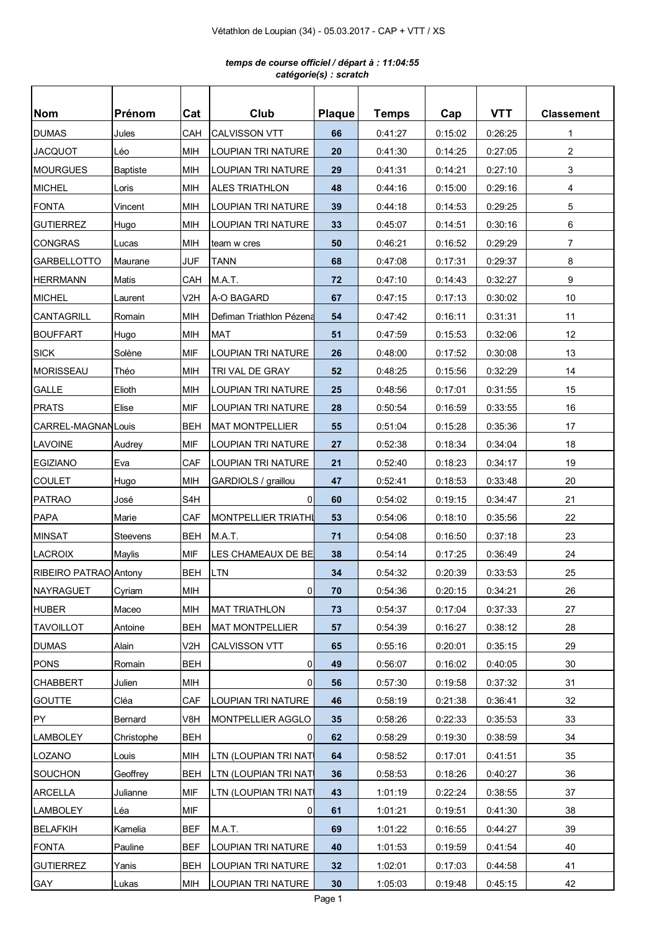## *temps de course officiel / départ à : 11:04:55 catégorie(s) : scratch*

| <b>Nom</b>            | <b>Prénom</b>   | Cat              | Club                       | <b>Plaque</b> | <b>Temps</b> | Cap     | <b>VTT</b> | <b>Classement</b> |
|-----------------------|-----------------|------------------|----------------------------|---------------|--------------|---------|------------|-------------------|
| <b>DUMAS</b>          | Jules           | CAH              | <b>CALVISSON VTT</b>       | 66            | 0:41:27      | 0:15:02 | 0:26:25    | 1                 |
| <b>JACQUOT</b>        | Léo             | <b>MIH</b>       | <b>LOUPIAN TRI NATURE</b>  | 20            | 0:41:30      | 0:14:25 | 0:27:05    | $\overline{2}$    |
| <b>MOURGUES</b>       | <b>Baptiste</b> | MIH              | LOUPIAN TRI NATURE         | 29            | 0:41:31      | 0:14:21 | 0:27:10    | 3                 |
| <b>MICHEL</b>         | Loris           | MIH              | <b>ALES TRIATHLON</b>      | 48            | 0:44:16      | 0:15:00 | 0:29:16    | 4                 |
| <b>FONTA</b>          | Vincent         | <b>MIH</b>       | LOUPIAN TRI NATURE         | 39            | 0:44:18      | 0:14:53 | 0:29:25    | 5                 |
| <b>GUTIERREZ</b>      | Hugo            | <b>MIH</b>       | <b>LOUPIAN TRI NATURE</b>  | 33            | 0:45:07      | 0:14:51 | 0:30:16    | 6                 |
| <b>CONGRAS</b>        | Lucas           | <b>MIH</b>       | team w cres                | 50            | 0:46:21      | 0.16.52 | 0:29:29    | $\overline{7}$    |
| <b>GARBELLOTTO</b>    | Maurane         | <b>JUF</b>       | TANN                       | 68            | 0:47:08      | 0:17:31 | 0:29:37    | 8                 |
| <b>HERRMANN</b>       | Matis           | CAH              | M.A.T.                     | 72            | 0:47:10      | 0:14:43 | 0:32:27    | 9                 |
| <b>MICHEL</b>         | Laurent         | V2H              | A-O BAGARD                 | 67            | 0:47:15      | 0:17:13 | 0:30:02    | 10                |
| CANTAGRILL            | Romain          | MIH              | Defiman Triathlon Pézena   | 54            | 0:47:42      | 0:16:11 | 0:31:31    | 11                |
| <b>BOUFFART</b>       | Hugo            | <b>MIH</b>       | <b>MAT</b>                 | 51            | 0:47:59      | 0:15:53 | 0:32:06    | 12                |
| <b>SICK</b>           | Solène          | <b>MIF</b>       | LOUPIAN TRI NATURE         | 26            | 0:48:00      | 0:17:52 | 0:30:08    | 13                |
| MORISSEAU             | Théo            | <b>MIH</b>       | TRI VAL DE GRAY            | 52            | 0:48:25      | 0:15:56 | 0:32:29    | 14                |
| <b>GALLE</b>          | Elioth          | <b>MIH</b>       | <b>LOUPIAN TRI NATURE</b>  | 25            | 0:48:56      | 0:17:01 | 0:31:55    | 15                |
| <b>PRATS</b>          | Elise           | MIF              | <b>LOUPIAN TRI NATURE</b>  | 28            | 0:50:54      | 0:16:59 | 0:33:55    | 16                |
| CARREL-MAGNAN Louis   |                 | BEH              | <b>MAT MONTPELLIER</b>     | 55            | 0:51:04      | 0:15:28 | 0:35:36    | 17                |
| LAVOINE               | Audrey          | <b>MIF</b>       | LOUPIAN TRI NATURE         | 27            | 0:52:38      | 0:18:34 | 0:34:04    | 18                |
| <b>EGIZIANO</b>       | Eva             | CAF              | LOUPIAN TRI NATURE         | 21            | 0:52:40      | 0:18:23 | 0:34:17    | 19                |
| <b>COULET</b>         | Hugo            | <b>MIH</b>       | GARDIOLS / graillou        | 47            | 0:52:41      | 0:18:53 | 0:33:48    | 20                |
| <b>PATRAO</b>         | José            | S <sub>4</sub> H | 0l                         | 60            | 0:54:02      | 0:19:15 | 0:34:47    | 21                |
| <b>PAPA</b>           | Marie           | CAF              | <b>MONTPELLIER TRIATHI</b> | 53            | 0:54:06      | 0:18:10 | 0:35:56    | 22                |
| <b>MINSAT</b>         | Steevens        | <b>BEH</b>       | M.A.T.                     | 71            | 0:54:08      | 0:16:50 | 0:37:18    | 23                |
| <b>LACROIX</b>        | Maylis          | <b>MIF</b>       | LES CHAMEAUX DE BE         | 38            | 0:54:14      | 0:17:25 | 0:36:49    | 24                |
| RIBEIRO PATRAO Antony |                 | <b>BEH</b>       | <b>LTN</b>                 | 34            | 0:54:32      | 0:20:39 | 0:33:53    | 25                |
| <b>NAYRAGUET</b>      | Cyriam          | <b>MIH</b>       | 0                          | 70            | 0:54:36      | 0:20:15 | 0:34:21    | 26                |
| <b>HUBER</b>          | Maceo           | <b>MIH</b>       | <b>MAT TRIATHLON</b>       | 73            | 0:54:37      | 0:17:04 | 0:37:33    | 27                |
| <b>TAVOILLOT</b>      | Antoine         | <b>BEH</b>       | <b>MAT MONTPELLIER</b>     | 57            | 0:54:39      | 0:16:27 | 0:38:12    | 28                |
| <b>DUMAS</b>          | Alain           | V2H              | <b>CALVISSON VTT</b>       | 65            | 0:55:16      | 0:20:01 | 0:35:15    | 29                |
| <b>PONS</b>           | Romain          | BEH              | 0                          | 49            | 0:56:07      | 0:16:02 | 0:40:05    | 30                |
| <b>CHABBERT</b>       | Julien          | MIH              | $\overline{0}$             | 56            | 0.57.30      | 0:19:58 | 0:37:32    | 31                |
| <b>GOUTTE</b>         | Cléa            | CAF              | LOUPIAN TRI NATURE         | 46            | 0:58:19      | 0:21:38 | 0:36:41    | 32                |
| PY                    | Bernard         | V8H              | MONTPELLIER AGGLO          | 35            | 0:58:26      | 0:22:33 | 0:35:53    | 33                |
| <b>LAMBOLEY</b>       | Christophe      | <b>BEH</b>       | 0                          | 62            | 0:58:29      | 0:19:30 | 0:38:59    | 34                |
| <b>LOZANO</b>         | Louis           | MIH              | LTN (LOUPIAN TRI NAT       | 64            | 0:58:52      | 0:17:01 | 0:41:51    | 35                |
| <b>SOUCHON</b>        | Geoffrey        | BEH              | LTN (LOUPIAN TRI NATI      | 36            | 0:58:53      | 0:18:26 | 0:40:27    | 36                |
| <b>ARCELLA</b>        | Julianne        | <b>MIF</b>       | LTN (LOUPIAN TRI NATI      | 43            | 1:01:19      | 0:22:24 | 0:38:55    | 37                |
| <b>LAMBOLEY</b>       | Léa             | <b>MIF</b>       | 0                          | 61            | 1:01:21      | 0:19:51 | 0:41:30    | 38                |
| <b>BELAFKIH</b>       | Kamelia         | <b>BEF</b>       | M.A.T.                     | 69            | 1:01:22      | 0:16:55 | 0:44:27    | 39                |
| <b>FONTA</b>          | Pauline         | <b>BEF</b>       | LOUPIAN TRI NATURE         | 40            | 1:01:53      | 0:19:59 | 0:41:54    | 40                |
| <b>GUTIERREZ</b>      | Yanis           | <b>BEH</b>       | LOUPIAN TRI NATURE         | 32            | 1:02:01      | 0:17:03 | 0:44:58    | 41                |
| GAY                   | Lukas           | <b>MIH</b>       | LOUPIAN TRI NATURE         | 30            | 1:05:03      | 0:19:48 | 0:45:15    | 42                |